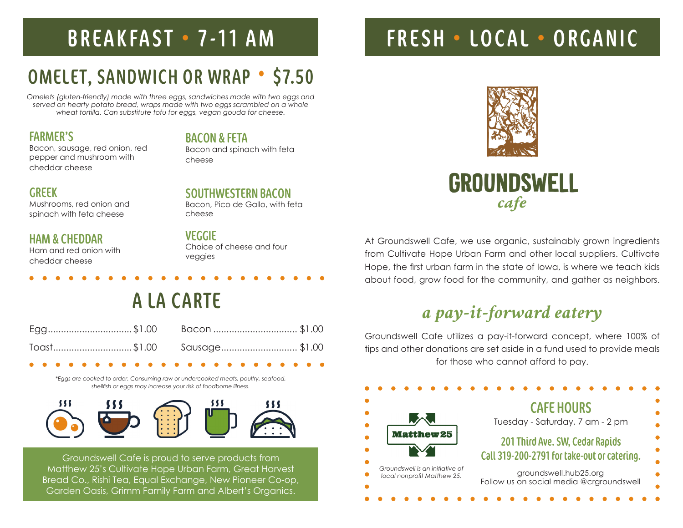# OMELET, SANDWICH OR WRAP • \$7.50

*Omelets (gluten-friendly) made with three eggs, sandwiches made with two eggs and served on hearty potato bread, wraps made with two eggs scrambled on a whole wheat tortilla. Can substitute tofu for eggs, vegan gouda for cheese.*

### FARMER'S

Bacon, sausage, red onion, red pepper and mushroom with cheddar cheese

### GREEK

Mushrooms, red onion and spinach with feta cheese

### HAM & CHEDDAR

Ham and red onion with cheddar cheese

## VEGGIE

cheese

cheese

BACON & FETA

Choice of cheese and four veggies

Bacon and spinach with feta

SOUTHWESTERN BACON Bacon, Pico de Gallo, with feta

# A LA CARTE

|  | Egg\$1.00 Bacon \$1.00    |  |
|--|---------------------------|--|
|  | Toast\$1.00 Sausage\$1.00 |  |

*\*Eggs are cooked to order. Consuming raw or undercooked meats, poultry, seafood, shellfish or eggs may increase your risk of foodborne illness.*



Groundswell Cafe is proud to serve products from Matthew 25's Cultivate Hope Urban Farm, Great Harvest Bread Co., Rishi Tea, Equal Exchange, New Pioneer Co-op, Garden Oasis, Grimm Family Farm and Albert's Organics.

# BREAKFAST • 7-11 AM FRESH • LOCAL • ORGANIC



At Groundswell Cafe, we use organic, sustainably grown ingredients from Cultivate Hope Urban Farm and other local suppliers. Cultivate Hope, the first urban farm in the state of Iowa, is where we teach kids about food, grow food for the community, and gather as neighbors.

# *a pay-it-forward eatery*

Groundswell Cafe utilizes a pay-it-forward concept, where 100% of tips and other donations are set aside in a fund used to provide meals for those who cannot afford to pay.